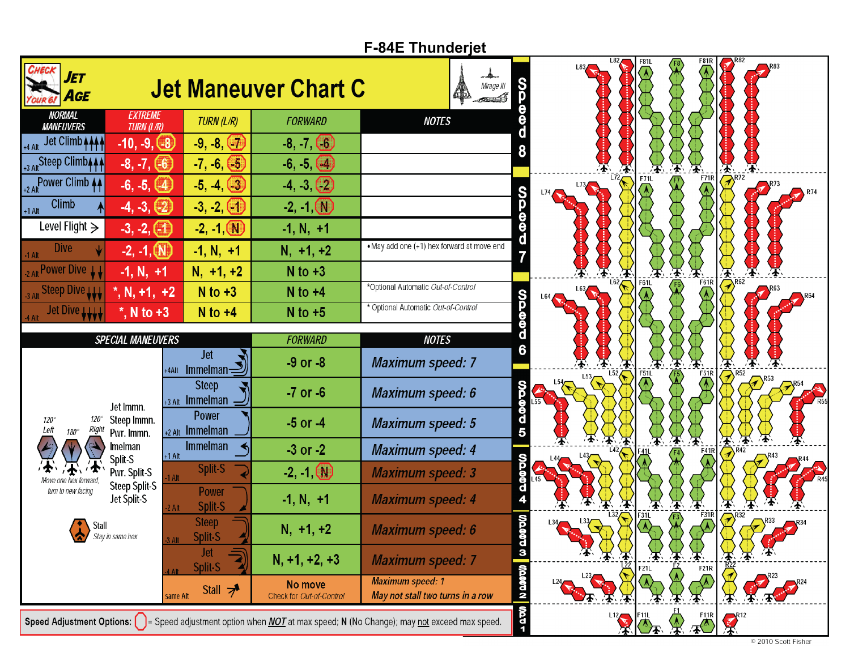